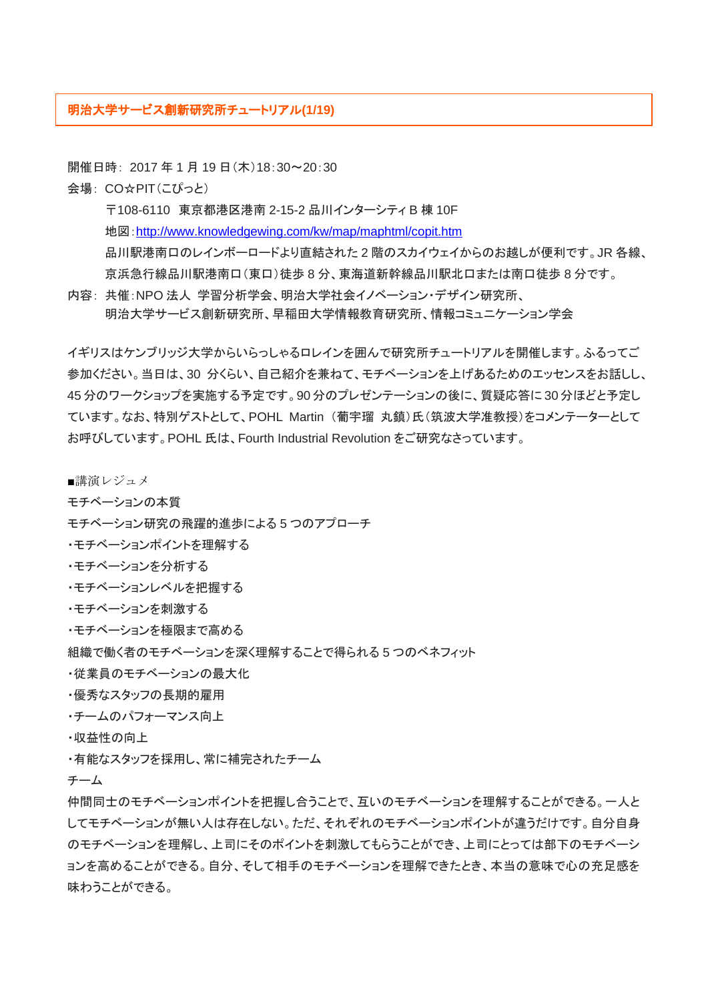## 明治大学サービス創新研究所チュートリアル**(1/19)**

開催日時: 2017年1月19日(木)18:30~20:30

会場: CO☆PIT(こぴっと)

〒108-6110 東京都港区港南 2-15-2 品川インターシティ B 棟 10F 地図:<http://www.knowledgewing.com/kw/map/maphtml/copit.htm> 品川駅港南口のレインボーロードより直結された 2 階のスカイウェイからのお越しが便利です。JR 各線、 京浜急行線品川駅港南口(東口)徒歩 8 分、東海道新幹線品川駅北口または南口徒歩 8 分です。

内容: 共催:NPO 法人 学習分析学会、明治大学社会イノベーション・デザイン研究所、 明治大学サービス創新研究所、早稲田大学情報教育研究所、情報コミュニケーション学会

イギリスはケンブリッジ大学からいらっしゃるロレインを囲んで研究所チュートリアルを開催します。ふるってご 参加ください。当日は、30 分くらい、自己紹介を兼ねて、モチベーションを上げあるためのエッセンスをお話しし、 45 分のワークショップを実施する予定です。90 分のプレゼンテーションの後に、質疑応答に 30 分ほどと予定し ています。なお、特別ゲストとして、POHL Martin (葡宇瑠 丸鎮)氏(筑波大学准教授)をコメンテーターとして お呼びしています。POHL 氏は、Fourth Industrial Revolution をご研究なさっています。

- ■講演レジュメ
- モチベーションの本質
- モチベーション研究の飛躍的進歩による 5 つのアプローチ
- ・モチベーションポイントを理解する
- ・モチベーションを分析する
- ・モチベーションレベルを把握する
- ・モチベーションを刺激する
- ・モチベーションを極限まで高める
- 組織で働く者のモチベーションを深く理解することで得られる 5 つのベネフィット
- ・従業員のモチベーションの最大化
- ・優秀なスタッフの長期的雇用
- ・チームのパフォーマンス向上
- ・収益性の向上
- ・有能なスタッフを採用し、常に補完されたチーム
- チーム

仲間同士のモチベーションポイントを把握し合うことで、互いのモチベーションを理解することができる。一人と してモチベーションが無い人は存在しない。ただ、それぞれのモチベーションポイントが違うだけです。自分自身 のモチベーションを理解し、上司にそのポイントを刺激してもらうことができ、上司にとっては部下のモチベーシ ョンを高めることができる。自分、そして相手のモチベーションを理解できたとき、本当の意味で心の充足感を 味わうことができる。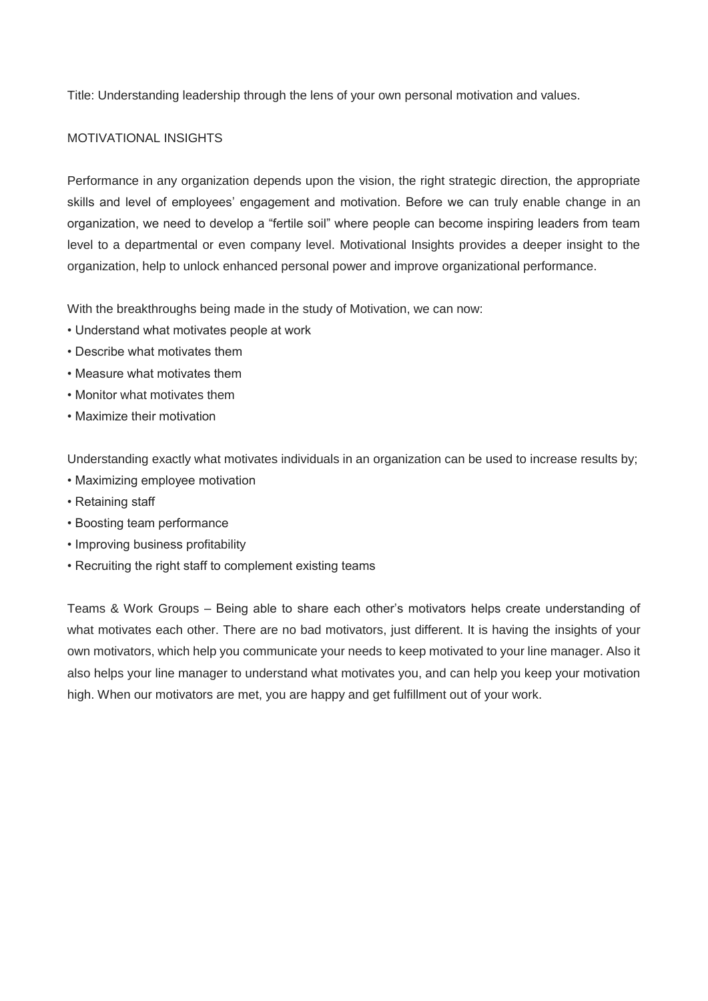Title: Understanding leadership through the lens of your own personal motivation and values.

## MOTIVATIONAL INSIGHTS

Performance in any organization depends upon the vision, the right strategic direction, the appropriate skills and level of employees' engagement and motivation. Before we can truly enable change in an organization, we need to develop a "fertile soil" where people can become inspiring leaders from team level to a departmental or even company level. Motivational Insights provides a deeper insight to the organization, help to unlock enhanced personal power and improve organizational performance.

With the breakthroughs being made in the study of Motivation, we can now:

- Understand what motivates people at work
- Describe what motivates them
- Measure what motivates them
- Monitor what motivates them
- Maximize their motivation

Understanding exactly what motivates individuals in an organization can be used to increase results by;

- Maximizing employee motivation
- Retaining staff
- Boosting team performance
- Improving business profitability
- Recruiting the right staff to complement existing teams

Teams & Work Groups – Being able to share each other's motivators helps create understanding of what motivates each other. There are no bad motivators, just different. It is having the insights of your own motivators, which help you communicate your needs to keep motivated to your line manager. Also it also helps your line manager to understand what motivates you, and can help you keep your motivation high. When our motivators are met, you are happy and get fulfillment out of your work.